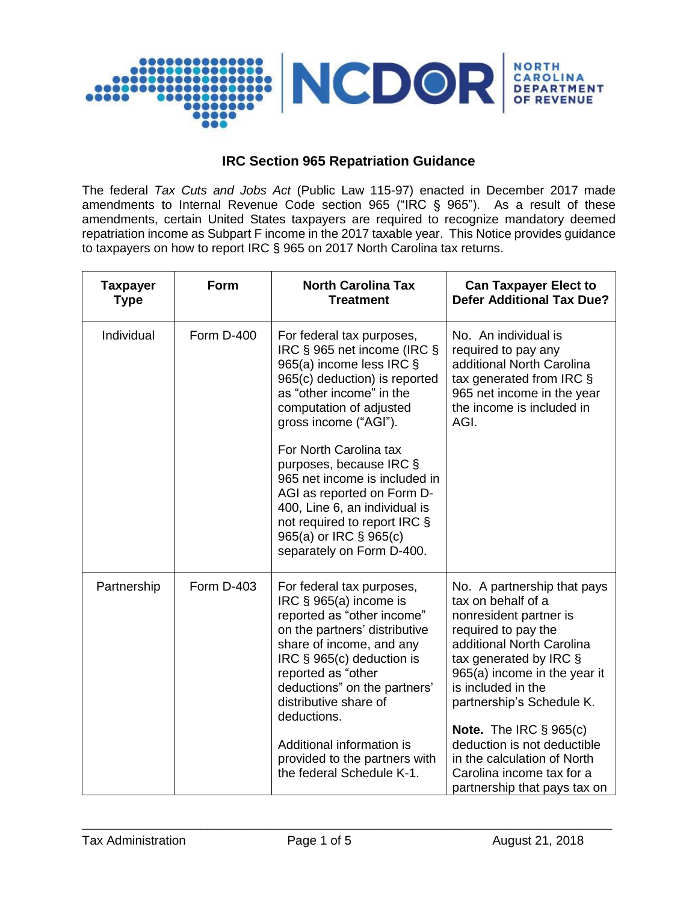

## **IRC Section 965 Repatriation Guidance**

The federal *Tax Cuts and Jobs Act* (Public Law 115-97) enacted in December 2017 made amendments to Internal Revenue Code section 965 ("IRC § 965"). As a result of these amendments, certain United States taxpayers are required to recognize mandatory deemed repatriation income as Subpart F income in the 2017 taxable year. This Notice provides guidance to taxpayers on how to report IRC § 965 on 2017 North Carolina tax returns.

| <b>Taxpayer</b><br><b>Type</b> | Form       | <b>North Carolina Tax</b><br><b>Treatment</b>                                                                                                                                                                                                                                                                                                                                                                                                     | <b>Can Taxpayer Elect to</b><br><b>Defer Additional Tax Due?</b>                                                                                                                                                                                                                                                                                                                                            |
|--------------------------------|------------|---------------------------------------------------------------------------------------------------------------------------------------------------------------------------------------------------------------------------------------------------------------------------------------------------------------------------------------------------------------------------------------------------------------------------------------------------|-------------------------------------------------------------------------------------------------------------------------------------------------------------------------------------------------------------------------------------------------------------------------------------------------------------------------------------------------------------------------------------------------------------|
| Individual                     | Form D-400 | For federal tax purposes,<br>IRC § 965 net income (IRC §<br>965(a) income less IRC §<br>965(c) deduction) is reported<br>as "other income" in the<br>computation of adjusted<br>gross income ("AGI").<br>For North Carolina tax<br>purposes, because IRC §<br>965 net income is included in<br>AGI as reported on Form D-<br>400, Line 6, an individual is<br>not required to report IRC §<br>965(a) or IRC § 965(c)<br>separately on Form D-400. | No. An individual is<br>required to pay any<br>additional North Carolina<br>tax generated from IRC §<br>965 net income in the year<br>the income is included in<br>AGI.                                                                                                                                                                                                                                     |
| Partnership                    | Form D-403 | For federal tax purposes,<br>IRC $\S$ 965(a) income is<br>reported as "other income"<br>on the partners' distributive<br>share of income, and any<br>IRC § 965(c) deduction is<br>reported as "other<br>deductions" on the partners'<br>distributive share of<br>deductions.<br>Additional information is<br>provided to the partners with<br>the federal Schedule K-1.                                                                           | No. A partnership that pays<br>tax on behalf of a<br>nonresident partner is<br>required to pay the<br>additional North Carolina<br>tax generated by IRC §<br>965(a) income in the year it<br>is included in the<br>partnership's Schedule K.<br><b>Note.</b> The IRC $\S$ 965(c)<br>deduction is not deductible<br>in the calculation of North<br>Carolina income tax for a<br>partnership that pays tax on |

\_\_\_\_\_\_\_\_\_\_\_\_\_\_\_\_\_\_\_\_\_\_\_\_\_\_\_\_\_\_\_\_\_\_\_\_\_\_\_\_\_\_\_\_\_\_\_\_\_\_\_\_\_\_\_\_\_\_\_\_\_\_\_\_\_\_\_\_\_\_\_\_\_\_\_\_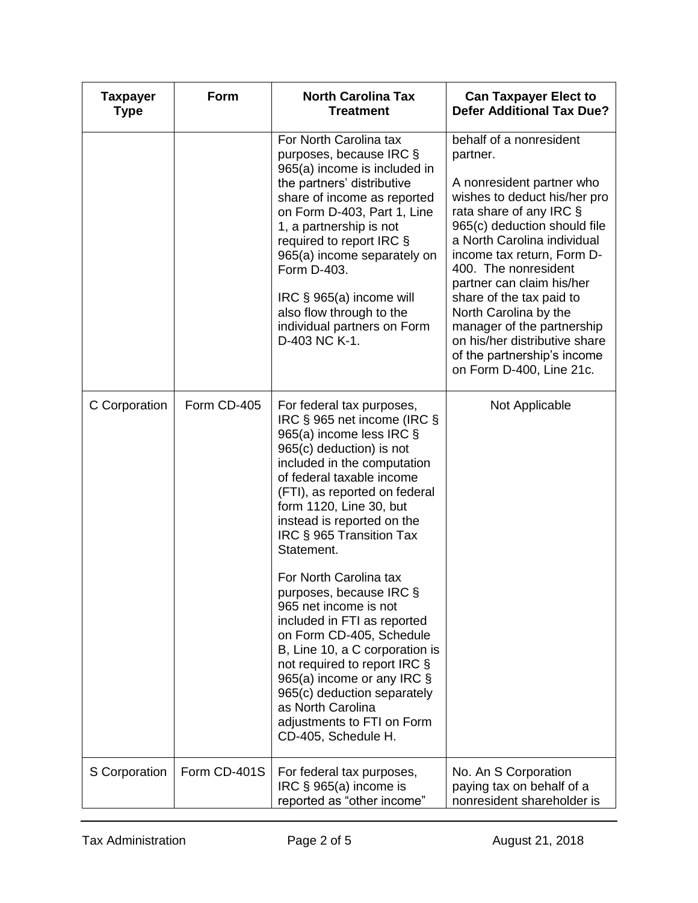| <b>Taxpayer</b><br><b>Type</b> | Form         | <b>North Carolina Tax</b><br><b>Treatment</b>                                                                                                                                                                                                                                                                                                                                                                                                                                                                                                                                                                                                                      | <b>Can Taxpayer Elect to</b><br><b>Defer Additional Tax Due?</b>                                                                                                                                                                                                                                                                                                                                                                                             |
|--------------------------------|--------------|--------------------------------------------------------------------------------------------------------------------------------------------------------------------------------------------------------------------------------------------------------------------------------------------------------------------------------------------------------------------------------------------------------------------------------------------------------------------------------------------------------------------------------------------------------------------------------------------------------------------------------------------------------------------|--------------------------------------------------------------------------------------------------------------------------------------------------------------------------------------------------------------------------------------------------------------------------------------------------------------------------------------------------------------------------------------------------------------------------------------------------------------|
|                                |              | For North Carolina tax<br>purposes, because IRC §<br>965(a) income is included in<br>the partners' distributive<br>share of income as reported<br>on Form D-403, Part 1, Line<br>1, a partnership is not<br>required to report IRC §<br>965(a) income separately on<br>Form D-403.<br>IRC § 965(a) income will<br>also flow through to the<br>individual partners on Form<br>D-403 NC K-1.                                                                                                                                                                                                                                                                         | behalf of a nonresident<br>partner.<br>A nonresident partner who<br>wishes to deduct his/her pro<br>rata share of any IRC §<br>965(c) deduction should file<br>a North Carolina individual<br>income tax return, Form D-<br>400. The nonresident<br>partner can claim his/her<br>share of the tax paid to<br>North Carolina by the<br>manager of the partnership<br>on his/her distributive share<br>of the partnership's income<br>on Form D-400, Line 21c. |
| C Corporation                  | Form CD-405  | For federal tax purposes,<br>IRC § 965 net income (IRC §<br>965(a) income less IRC §<br>965(c) deduction) is not<br>included in the computation<br>of federal taxable income<br>(FTI), as reported on federal<br>form 1120, Line 30, but<br>instead is reported on the<br>IRC § 965 Transition Tax<br>Statement.<br>For North Carolina tax<br>purposes, because IRC §<br>965 net income is not<br>included in FTI as reported<br>on Form CD-405, Schedule<br>B, Line 10, a C corporation is<br>not required to report IRC §<br>965(a) income or any IRC §<br>965(c) deduction separately<br>as North Carolina<br>adjustments to FTI on Form<br>CD-405, Schedule H. | Not Applicable                                                                                                                                                                                                                                                                                                                                                                                                                                               |
| S Corporation                  | Form CD-401S | For federal tax purposes,<br>IRC $\S$ 965(a) income is<br>reported as "other income"                                                                                                                                                                                                                                                                                                                                                                                                                                                                                                                                                                               | No. An S Corporation<br>paying tax on behalf of a<br>nonresident shareholder is                                                                                                                                                                                                                                                                                                                                                                              |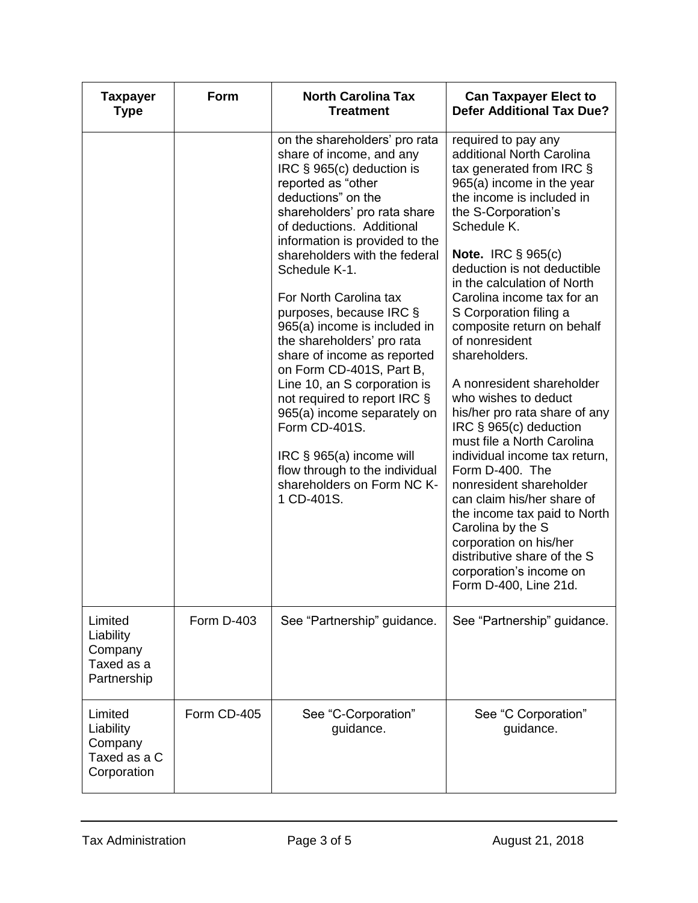| <b>Taxpayer</b><br><b>Type</b>                                 | Form              | <b>North Carolina Tax</b><br><b>Treatment</b>                                                                                                                                                                                                                                                                                                                                                                                                                                                                                                                                                                                                                                               | <b>Can Taxpayer Elect to</b><br><b>Defer Additional Tax Due?</b>                                                                                                                                                                                                                                                                                                                                                                                                                                                                                                                                                                                                                                                                                                                                                          |
|----------------------------------------------------------------|-------------------|---------------------------------------------------------------------------------------------------------------------------------------------------------------------------------------------------------------------------------------------------------------------------------------------------------------------------------------------------------------------------------------------------------------------------------------------------------------------------------------------------------------------------------------------------------------------------------------------------------------------------------------------------------------------------------------------|---------------------------------------------------------------------------------------------------------------------------------------------------------------------------------------------------------------------------------------------------------------------------------------------------------------------------------------------------------------------------------------------------------------------------------------------------------------------------------------------------------------------------------------------------------------------------------------------------------------------------------------------------------------------------------------------------------------------------------------------------------------------------------------------------------------------------|
|                                                                |                   | on the shareholders' pro rata<br>share of income, and any<br>IRC § 965(c) deduction is<br>reported as "other<br>deductions" on the<br>shareholders' pro rata share<br>of deductions. Additional<br>information is provided to the<br>shareholders with the federal<br>Schedule K-1.<br>For North Carolina tax<br>purposes, because IRC §<br>965(a) income is included in<br>the shareholders' pro rata<br>share of income as reported<br>on Form CD-401S, Part B,<br>Line 10, an S corporation is<br>not required to report IRC §<br>965(a) income separately on<br>Form CD-401S.<br>IRC § 965(a) income will<br>flow through to the individual<br>shareholders on Form NC K-<br>1 CD-401S. | required to pay any<br>additional North Carolina<br>tax generated from IRC §<br>965(a) income in the year<br>the income is included in<br>the S-Corporation's<br>Schedule K.<br>Note. IRC $\S$ 965(c)<br>deduction is not deductible<br>in the calculation of North<br>Carolina income tax for an<br>S Corporation filing a<br>composite return on behalf<br>of nonresident<br>shareholders.<br>A nonresident shareholder<br>who wishes to deduct<br>his/her pro rata share of any<br>IRC § 965(c) deduction<br>must file a North Carolina<br>individual income tax return,<br>Form D-400. The<br>nonresident shareholder<br>can claim his/her share of<br>the income tax paid to North<br>Carolina by the S<br>corporation on his/her<br>distributive share of the S<br>corporation's income on<br>Form D-400, Line 21d. |
| Limited<br>Liability<br>Company<br>Taxed as a<br>Partnership   | <b>Form D-403</b> | See "Partnership" guidance.                                                                                                                                                                                                                                                                                                                                                                                                                                                                                                                                                                                                                                                                 | See "Partnership" guidance.                                                                                                                                                                                                                                                                                                                                                                                                                                                                                                                                                                                                                                                                                                                                                                                               |
| Limited<br>Liability<br>Company<br>Taxed as a C<br>Corporation | Form CD-405       | See "C-Corporation"<br>guidance.                                                                                                                                                                                                                                                                                                                                                                                                                                                                                                                                                                                                                                                            | See "C Corporation"<br>guidance.                                                                                                                                                                                                                                                                                                                                                                                                                                                                                                                                                                                                                                                                                                                                                                                          |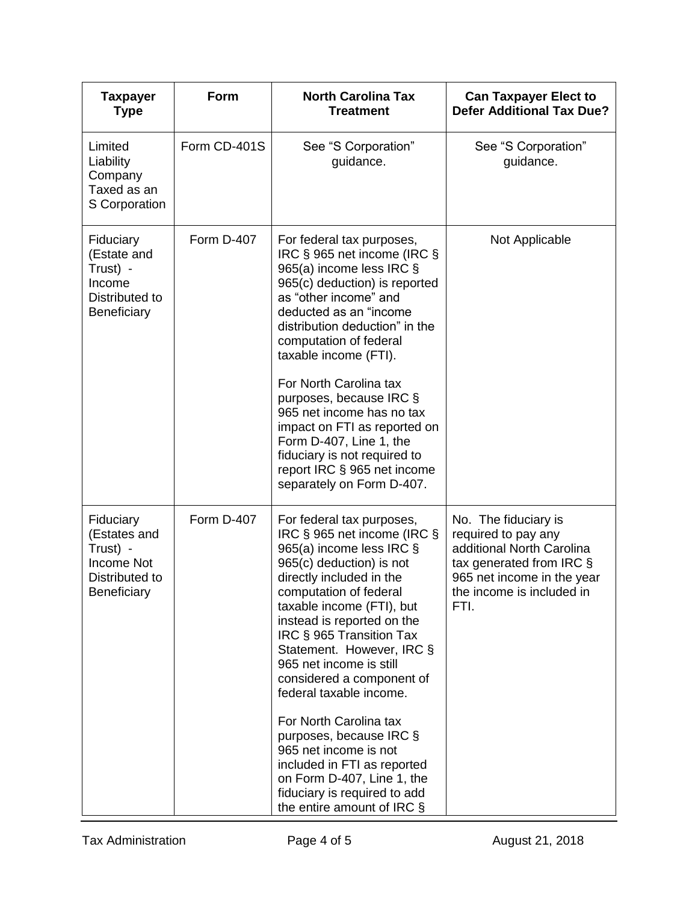| <b>Taxpayer</b><br><b>Type</b>                                                              | Form         | <b>North Carolina Tax</b><br><b>Treatment</b>                                                                                                                                                                                                                                                                                                                                                                                                                                                                                                                                             | <b>Can Taxpayer Elect to</b><br><b>Defer Additional Tax Due?</b>                                                                                                        |
|---------------------------------------------------------------------------------------------|--------------|-------------------------------------------------------------------------------------------------------------------------------------------------------------------------------------------------------------------------------------------------------------------------------------------------------------------------------------------------------------------------------------------------------------------------------------------------------------------------------------------------------------------------------------------------------------------------------------------|-------------------------------------------------------------------------------------------------------------------------------------------------------------------------|
| Limited<br>Liability<br>Company<br>Taxed as an<br>S Corporation                             | Form CD-401S | See "S Corporation"<br>guidance.                                                                                                                                                                                                                                                                                                                                                                                                                                                                                                                                                          | See "S Corporation"<br>guidance.                                                                                                                                        |
| Fiduciary<br>(Estate and<br>Trust) -<br>Income<br>Distributed to<br>Beneficiary             | Form D-407   | For federal tax purposes,<br>IRC § 965 net income (IRC §<br>965(a) income less IRC §<br>965(c) deduction) is reported<br>as "other income" and<br>deducted as an "income<br>distribution deduction" in the<br>computation of federal<br>taxable income (FTI).<br>For North Carolina tax<br>purposes, because IRC §<br>965 net income has no tax<br>impact on FTI as reported on<br>Form D-407, Line 1, the<br>fiduciary is not required to<br>report IRC § 965 net income<br>separately on Form D-407.                                                                                    | Not Applicable                                                                                                                                                          |
| Fiduciary<br>(Estates and<br>Trust) -<br><b>Income Not</b><br>Distributed to<br>Beneficiary | Form D-407   | For federal tax purposes,<br>IRC § 965 net income (IRC §<br>965(a) income less IRC §<br>965(c) deduction) is not<br>directly included in the<br>computation of federal<br>taxable income (FTI), but<br>instead is reported on the<br>IRC § 965 Transition Tax<br>Statement. However, IRC §<br>965 net income is still<br>considered a component of<br>federal taxable income.<br>For North Carolina tax<br>purposes, because IRC §<br>965 net income is not<br>included in FTI as reported<br>on Form D-407, Line 1, the<br>fiduciary is required to add<br>the entire amount of IRC $\S$ | No. The fiduciary is<br>required to pay any<br>additional North Carolina<br>tax generated from IRC §<br>965 net income in the year<br>the income is included in<br>FTI. |